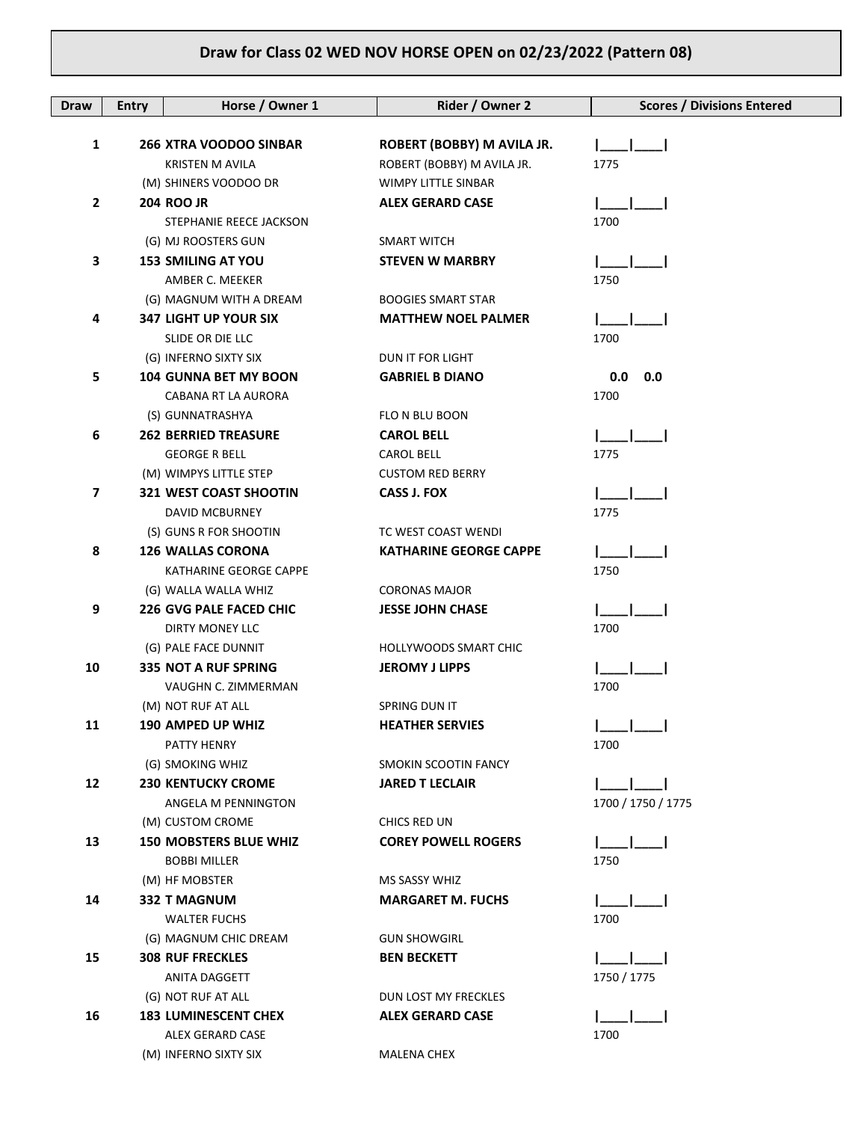| <b>Draw</b>    | <b>Entry</b> | Horse / Owner 1                | Rider / Owner 2               | <b>Scores / Divisions Entered</b> |
|----------------|--------------|--------------------------------|-------------------------------|-----------------------------------|
| 1              |              | <b>266 XTRA VOODOO SINBAR</b>  | ROBERT (BOBBY) M AVILA JR.    |                                   |
|                |              | <b>KRISTEN M AVILA</b>         | ROBERT (BOBBY) M AVILA JR.    | 1775                              |
|                |              | (M) SHINERS VOODOO DR          | <b>WIMPY LITTLE SINBAR</b>    |                                   |
| 2              |              | <b>204 ROO JR</b>              | <b>ALEX GERARD CASE</b>       |                                   |
|                |              | STEPHANIE REECE JACKSON        |                               | 1700                              |
|                |              | (G) MJ ROOSTERS GUN            | <b>SMART WITCH</b>            |                                   |
| 3              |              | <b>153 SMILING AT YOU</b>      | <b>STEVEN W MARBRY</b>        |                                   |
|                |              | AMBER C. MEEKER                |                               | 1750                              |
|                |              | (G) MAGNUM WITH A DREAM        | <b>BOOGIES SMART STAR</b>     |                                   |
| 4              |              | <b>347 LIGHT UP YOUR SIX</b>   | <b>MATTHEW NOEL PALMER</b>    |                                   |
|                |              | SLIDE OR DIE LLC               |                               | 1700                              |
|                |              | (G) INFERNO SIXTY SIX          | DUN IT FOR LIGHT              |                                   |
| 5              |              | <b>104 GUNNA BET MY BOON</b>   | <b>GABRIEL B DIANO</b>        | 0.0<br>0.0                        |
|                |              | CABANA RT LA AURORA            |                               | 1700                              |
|                |              | (S) GUNNATRASHYA               | FLO N BLU BOON                |                                   |
| 6              |              | <b>262 BERRIED TREASURE</b>    | <b>CAROL BELL</b>             |                                   |
|                |              | <b>GEORGE R BELL</b>           | <b>CAROL BELL</b>             | 1775                              |
|                |              | (M) WIMPYS LITTLE STEP         | <b>CUSTOM RED BERRY</b>       |                                   |
| $\overline{ }$ |              | <b>321 WEST COAST SHOOTIN</b>  | <b>CASS J. FOX</b>            |                                   |
|                |              | DAVID MCBURNEY                 |                               | 1775                              |
|                |              | (S) GUNS R FOR SHOOTIN         | TC WEST COAST WENDI           |                                   |
| 8              |              | <b>126 WALLAS CORONA</b>       | <b>KATHARINE GEORGE CAPPE</b> |                                   |
|                |              | KATHARINE GEORGE CAPPE         |                               | 1750                              |
|                |              | (G) WALLA WALLA WHIZ           | <b>CORONAS MAJOR</b>          |                                   |
| 9              |              | <b>226 GVG PALE FACED CHIC</b> | <b>JESSE JOHN CHASE</b>       |                                   |
|                |              | <b>DIRTY MONEY LLC</b>         |                               | 1700                              |
|                |              | (G) PALE FACE DUNNIT           | <b>HOLLYWOODS SMART CHIC</b>  |                                   |
| 10             |              | 335 NOT A RUF SPRING           | <b>JEROMY J LIPPS</b>         |                                   |
|                |              | VAUGHN C. ZIMMERMAN            |                               | 1700                              |
|                |              | (M) NOT RUF AT ALL             | SPRING DUN IT                 |                                   |
| 11             |              | 190 AMPED UP WHIZ              | <b>HEATHER SERVIES</b>        |                                   |
|                |              | PATTY HENRY                    |                               | 1700                              |
|                |              | (G) SMOKING WHIZ               | SMOKIN SCOOTIN FANCY          |                                   |
| 12             |              | <b>230 KENTUCKY CROME</b>      | <b>JARED T LECLAIR</b>        |                                   |
|                |              | ANGELA M PENNINGTON            |                               | 1700 / 1750 / 1775                |
|                |              | (M) CUSTOM CROME               | CHICS RED UN                  |                                   |
| 13             |              | <b>150 MOBSTERS BLUE WHIZ</b>  | <b>COREY POWELL ROGERS</b>    |                                   |
|                |              | <b>BOBBI MILLER</b>            |                               | 1750                              |
|                |              | (M) HF MOBSTER                 | MS SASSY WHIZ                 |                                   |
| 14             |              | <b>332 T MAGNUM</b>            | <b>MARGARET M. FUCHS</b>      |                                   |
|                |              | <b>WALTER FUCHS</b>            |                               | 1700                              |
|                |              | (G) MAGNUM CHIC DREAM          | <b>GUN SHOWGIRL</b>           |                                   |
| 15             |              | <b>308 RUF FRECKLES</b>        | <b>BEN BECKETT</b>            |                                   |
|                |              | ANITA DAGGETT                  |                               | 1750 / 1775                       |
|                |              | (G) NOT RUF AT ALL             | DUN LOST MY FRECKLES          |                                   |
| 16             |              | <b>183 LUMINESCENT CHEX</b>    | <b>ALEX GERARD CASE</b>       |                                   |
|                |              | ALEX GERARD CASE               |                               | 1700                              |
|                |              | (M) INFERNO SIXTY SIX          | MALENA CHEX                   |                                   |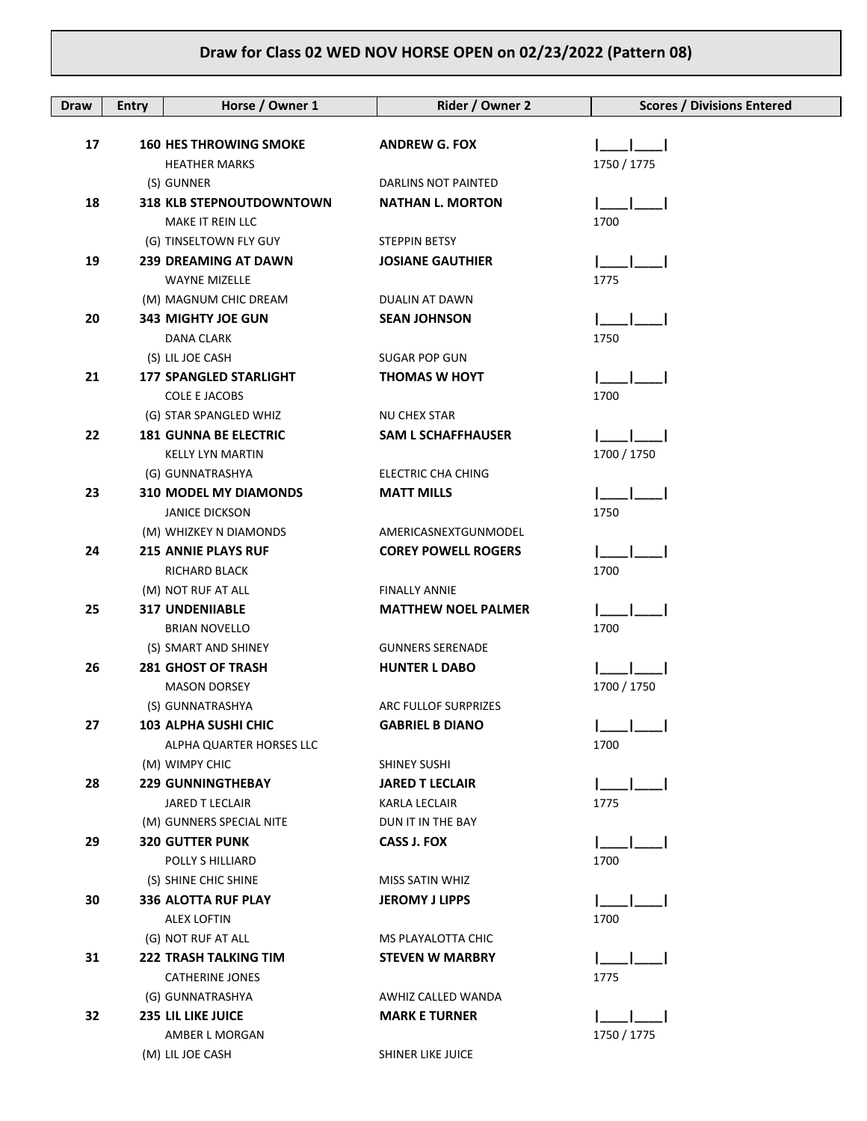| <b>Draw</b> | <b>Entry</b> | Horse / Owner 1                                       | Rider / Owner 2                         | <b>Scores / Divisions Entered</b> |
|-------------|--------------|-------------------------------------------------------|-----------------------------------------|-----------------------------------|
|             |              |                                                       |                                         |                                   |
| 17          |              | <b>160 HES THROWING SMOKE</b><br><b>HEATHER MARKS</b> | <b>ANDREW G. FOX</b>                    | 1750 / 1775                       |
|             |              | (S) GUNNER                                            | DARLINS NOT PAINTED                     |                                   |
| 18          |              | <b>318 KLB STEPNOUTDOWNTOWN</b>                       | <b>NATHAN L. MORTON</b>                 |                                   |
|             |              | MAKE IT REIN LLC                                      |                                         | 1700                              |
|             |              | (G) TINSELTOWN FLY GUY                                | <b>STEPPIN BETSY</b>                    |                                   |
| 19          |              | <b>239 DREAMING AT DAWN</b>                           | <b>JOSIANE GAUTHIER</b>                 |                                   |
|             |              | <b>WAYNE MIZELLE</b>                                  |                                         | 1775                              |
|             |              | (M) MAGNUM CHIC DREAM                                 | DUALIN AT DAWN                          |                                   |
| 20          |              | <b>343 MIGHTY JOE GUN</b>                             | <b>SEAN JOHNSON</b>                     |                                   |
|             |              | DANA CLARK                                            |                                         | 1750                              |
|             |              | (S) LIL JOE CASH                                      | <b>SUGAR POP GUN</b>                    |                                   |
| 21          |              | <b>177 SPANGLED STARLIGHT</b>                         | <b>THOMAS W HOYT</b>                    |                                   |
|             |              | <b>COLE E JACOBS</b>                                  |                                         | 1700                              |
|             |              | (G) STAR SPANGLED WHIZ                                | <b>NU CHEX STAR</b>                     |                                   |
| 22          |              | <b>181 GUNNA BE ELECTRIC</b>                          | <b>SAM L SCHAFFHAUSER</b>               |                                   |
|             |              | <b>KELLY LYN MARTIN</b>                               |                                         | 1700 / 1750                       |
|             |              | (G) GUNNATRASHYA                                      | ELECTRIC CHA CHING                      |                                   |
| 23          |              | <b>310 MODEL MY DIAMONDS</b>                          | <b>MATT MILLS</b>                       |                                   |
|             |              | <b>JANICE DICKSON</b>                                 |                                         | 1750                              |
|             |              | (M) WHIZKEY N DIAMONDS                                | AMERICASNEXTGUNMODEL                    |                                   |
| 24          |              | <b>215 ANNIE PLAYS RUF</b>                            | <b>COREY POWELL ROGERS</b>              |                                   |
|             |              | RICHARD BLACK                                         |                                         | 1700                              |
|             |              | (M) NOT RUF AT ALL                                    | <b>FINALLY ANNIE</b>                    |                                   |
| 25          |              | <b>317 UNDENIIABLE</b>                                | <b>MATTHEW NOEL PALMER</b>              |                                   |
|             |              | <b>BRIAN NOVELLO</b>                                  |                                         | 1700                              |
|             |              | (S) SMART AND SHINEY                                  | <b>GUNNERS SERENADE</b>                 |                                   |
| 26          |              | <b>281 GHOST OF TRASH</b>                             | <b>HUNTER L DABO</b>                    |                                   |
|             |              | <b>MASON DORSEY</b>                                   |                                         | 1700 / 1750                       |
|             |              | (S) GUNNATRASHYA                                      | ARC FULLOF SURPRIZES                    |                                   |
| 27          |              | 103 ALPHA SUSHI CHIC                                  | <b>GABRIEL B DIANO</b>                  |                                   |
|             |              | ALPHA QUARTER HORSES LLC                              |                                         | 1700                              |
|             |              | (M) WIMPY CHIC                                        | <b>SHINEY SUSHI</b>                     |                                   |
| 28          |              | <b>229 GUNNINGTHEBAY</b><br>JARED T LECLAIR           | <b>JARED T LECLAIR</b><br>KARLA LECLAIR | 1775                              |
|             |              | (M) GUNNERS SPECIAL NITE                              | DUN IT IN THE BAY                       |                                   |
| 29          |              | <b>320 GUTTER PUNK</b>                                | <b>CASS J. FOX</b>                      |                                   |
|             |              | POLLY S HILLIARD                                      |                                         | 1700                              |
|             |              | (S) SHINE CHIC SHINE                                  | MISS SATIN WHIZ                         |                                   |
| 30          |              | <b>336 ALOTTA RUF PLAY</b>                            | <b>JEROMY J LIPPS</b>                   |                                   |
|             |              | ALEX LOFTIN                                           |                                         | 1700                              |
|             |              | (G) NOT RUF AT ALL                                    | MS PLAYALOTTA CHIC                      |                                   |
| 31          |              | <b>222 TRASH TALKING TIM</b>                          | <b>STEVEN W MARBRY</b>                  |                                   |
|             |              | CATHERINE JONES                                       |                                         | 1775                              |
|             |              | (G) GUNNATRASHYA                                      | AWHIZ CALLED WANDA                      |                                   |
| 32          |              | <b>235 LIL LIKE JUICE</b>                             | <b>MARK E TURNER</b>                    |                                   |
|             |              | AMBER L MORGAN                                        |                                         | 1750 / 1775                       |
|             |              | (M) LIL JOE CASH                                      | SHINER LIKE JUICE                       |                                   |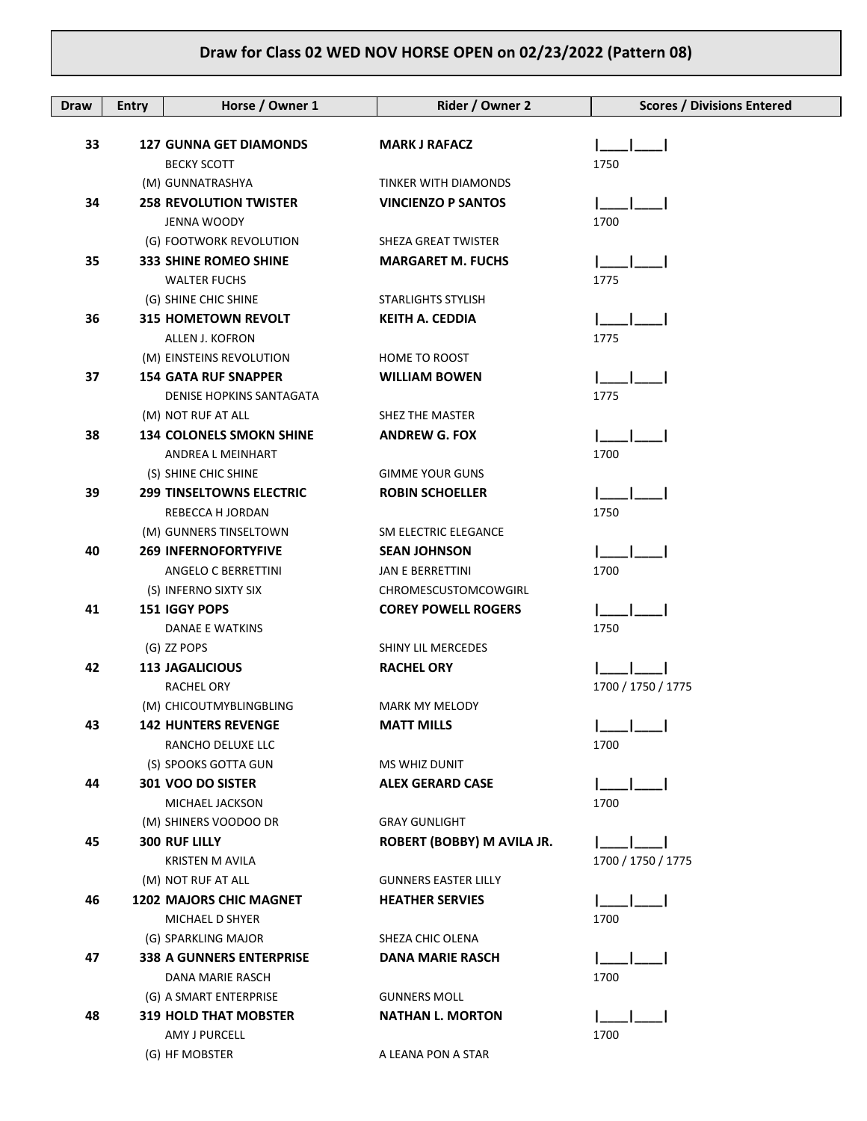| Draw | <b>Entry</b> | Horse / Owner 1                             | Rider / Owner 2             | <b>Scores / Divisions Entered</b> |
|------|--------------|---------------------------------------------|-----------------------------|-----------------------------------|
| 33   |              | <b>127 GUNNA GET DIAMONDS</b>               | <b>MARK J RAFACZ</b>        |                                   |
|      |              | <b>BECKY SCOTT</b>                          |                             | 1750                              |
|      |              | (M) GUNNATRASHYA                            | <b>TINKER WITH DIAMONDS</b> |                                   |
| 34   |              | <b>258 REVOLUTION TWISTER</b>               | <b>VINCIENZO P SANTOS</b>   |                                   |
|      |              | JENNA WOODY                                 |                             | 1700                              |
|      |              | (G) FOOTWORK REVOLUTION                     | SHEZA GREAT TWISTER         |                                   |
| 35   |              | <b>333 SHINE ROMEO SHINE</b>                | <b>MARGARET M. FUCHS</b>    |                                   |
|      |              | <b>WALTER FUCHS</b>                         |                             | 1775                              |
|      |              | (G) SHINE CHIC SHINE                        | <b>STARLIGHTS STYLISH</b>   |                                   |
| 36   |              | <b>315 HOMETOWN REVOLT</b>                  | <b>KEITH A. CEDDIA</b>      |                                   |
|      |              | ALLEN J. KOFRON                             |                             | 1775                              |
|      |              | (M) EINSTEINS REVOLUTION                    | HOME TO ROOST               |                                   |
| 37   |              | <b>154 GATA RUF SNAPPER</b>                 | <b>WILLIAM BOWEN</b>        |                                   |
|      |              | <b>DENISE HOPKINS SANTAGATA</b>             |                             | 1775                              |
|      |              | (M) NOT RUF AT ALL                          | SHEZ THE MASTER             |                                   |
| 38   |              | <b>134 COLONELS SMOKN SHINE</b>             | <b>ANDREW G. FOX</b>        |                                   |
|      |              | <b>ANDREA L MEINHART</b>                    |                             | 1700                              |
|      |              | (S) SHINE CHIC SHINE                        | <b>GIMME YOUR GUNS</b>      |                                   |
| 39   |              | <b>299 TINSELTOWNS ELECTRIC</b>             | <b>ROBIN SCHOELLER</b>      |                                   |
|      |              | REBECCA H JORDAN                            |                             | 1750                              |
|      |              | (M) GUNNERS TINSELTOWN                      | SM ELECTRIC ELEGANCE        |                                   |
| 40   |              | <b>269 INFERNOFORTYFIVE</b>                 | <b>SEAN JOHNSON</b>         |                                   |
|      |              | ANGELO C BERRETTINI                         | <b>JAN E BERRETTINI</b>     | 1700                              |
|      |              | (S) INFERNO SIXTY SIX                       | CHROMESCUSTOMCOWGIRL        |                                   |
| 41   |              | 151 IGGY POPS                               | <b>COREY POWELL ROGERS</b>  |                                   |
|      |              | DANAE E WATKINS                             |                             | 1750                              |
| 42   |              | (G) ZZ POPS                                 | SHINY LIL MERCEDES          |                                   |
|      |              | <b>113 JAGALICIOUS</b><br><b>RACHEL ORY</b> | <b>RACHEL ORY</b>           | 1700 / 1750 / 1775                |
|      |              | (M) CHICOUTMYBLINGBLING                     | <b>MARK MY MELODY</b>       |                                   |
| 43   |              | <b>142 HUNTERS REVENGE</b>                  | <b>MATT MILLS</b>           |                                   |
|      |              | RANCHO DELUXE LLC                           |                             | 1700                              |
|      |              | (S) SPOOKS GOTTA GUN                        | <b>MS WHIZ DUNIT</b>        |                                   |
| 44   |              | 301 VOO DO SISTER                           | <b>ALEX GERARD CASE</b>     |                                   |
|      |              | MICHAEL JACKSON                             |                             | 1700                              |
|      |              | (M) SHINERS VOODOO DR                       | <b>GRAY GUNLIGHT</b>        |                                   |
| 45   |              | <b>300 RUF LILLY</b>                        | ROBERT (BOBBY) M AVILA JR.  |                                   |
|      |              | KRISTEN M AVILA                             |                             | 1700 / 1750 / 1775                |
|      |              | (M) NOT RUF AT ALL                          | <b>GUNNERS EASTER LILLY</b> |                                   |
| 46   |              | <b>1202 MAJORS CHIC MAGNET</b>              | <b>HEATHER SERVIES</b>      |                                   |
|      |              | MICHAEL D SHYER                             |                             | 1700                              |
|      |              | (G) SPARKLING MAJOR                         | SHEZA CHIC OLENA            |                                   |
| 47   |              | <b>338 A GUNNERS ENTERPRISE</b>             | <b>DANA MARIE RASCH</b>     |                                   |
|      |              | DANA MARIE RASCH                            |                             | 1700                              |
|      |              | (G) A SMART ENTERPRISE                      | <b>GUNNERS MOLL</b>         |                                   |
| 48   |              | <b>319 HOLD THAT MOBSTER</b>                | <b>NATHAN L. MORTON</b>     |                                   |
|      |              | AMY J PURCELL                               |                             | 1700                              |
|      |              | (G) HF MOBSTER                              | A LEANA PON A STAR          |                                   |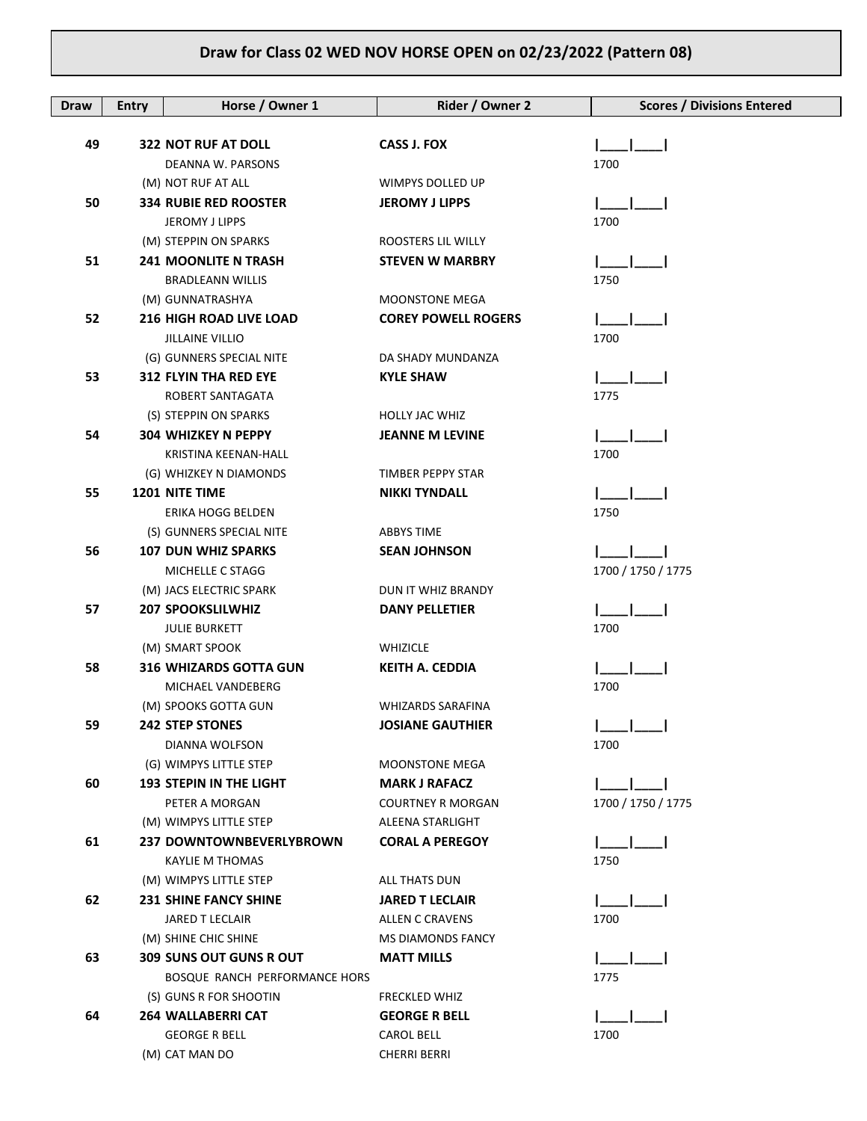| <b>Draw</b> | <b>Entry</b> | Horse / Owner 1                      | Rider / Owner 2            | <b>Scores / Divisions Entered</b> |
|-------------|--------------|--------------------------------------|----------------------------|-----------------------------------|
|             |              |                                      |                            |                                   |
| 49          |              | <b>322 NOT RUF AT DOLL</b>           | <b>CASS J. FOX</b>         |                                   |
|             |              | DEANNA W. PARSONS                    |                            | 1700                              |
|             |              | (M) NOT RUF AT ALL                   | WIMPYS DOLLED UP           |                                   |
| 50          |              | <b>334 RUBIE RED ROOSTER</b>         | <b>JEROMY J LIPPS</b>      |                                   |
|             |              | JEROMY J LIPPS                       |                            | 1700                              |
|             |              | (M) STEPPIN ON SPARKS                | ROOSTERS LIL WILLY         |                                   |
| 51          |              | <b>241 MOONLITE N TRASH</b>          | <b>STEVEN W MARBRY</b>     |                                   |
|             |              | <b>BRADLEANN WILLIS</b>              |                            | 1750                              |
|             |              | (M) GUNNATRASHYA                     | <b>MOONSTONE MEGA</b>      |                                   |
| 52          |              | <b>216 HIGH ROAD LIVE LOAD</b>       | <b>COREY POWELL ROGERS</b> |                                   |
|             |              | <b>JILLAINE VILLIO</b>               |                            | 1700                              |
|             |              | (G) GUNNERS SPECIAL NITE             | DA SHADY MUNDANZA          |                                   |
| 53          |              | <b>312 FLYIN THA RED EYE</b>         | <b>KYLE SHAW</b>           |                                   |
|             |              | ROBERT SANTAGATA                     |                            | 1775                              |
|             |              | (S) STEPPIN ON SPARKS                | <b>HOLLY JAC WHIZ</b>      |                                   |
| 54          |              | <b>304 WHIZKEY N PEPPY</b>           | <b>JEANNE M LEVINE</b>     |                                   |
|             |              | <b>KRISTINA KEENAN-HALL</b>          |                            | 1700                              |
|             |              | (G) WHIZKEY N DIAMONDS               | TIMBER PEPPY STAR          |                                   |
| 55          |              | <b>1201 NITE TIME</b>                | <b>NIKKI TYNDALL</b>       |                                   |
|             |              | ERIKA HOGG BELDEN                    |                            | 1750                              |
|             |              | (S) GUNNERS SPECIAL NITE             | <b>ABBYS TIME</b>          |                                   |
| 56          |              | <b>107 DUN WHIZ SPARKS</b>           | <b>SEAN JOHNSON</b>        |                                   |
|             |              | MICHELLE C STAGG                     |                            | 1700 / 1750 / 1775                |
|             |              | (M) JACS ELECTRIC SPARK              | DUN IT WHIZ BRANDY         |                                   |
| 57          |              | <b>207 SPOOKSLILWHIZ</b>             | <b>DANY PELLETIER</b>      |                                   |
|             |              | <b>JULIE BURKETT</b>                 |                            | 1700                              |
|             |              | (M) SMART SPOOK                      | <b>WHIZICLE</b>            |                                   |
| 58          |              | 316 WHIZARDS GOTTA GUN               | <b>KEITH A. CEDDIA</b>     |                                   |
|             |              | MICHAEL VANDEBERG                    |                            | 1700                              |
|             |              | (M) SPOOKS GOTTA GUN                 | <b>WHIZARDS SARAFINA</b>   |                                   |
| 59          |              | <b>242 STEP STONES</b>               | <b>JOSIANE GAUTHIER</b>    |                                   |
|             |              | DIANNA WOLFSON                       |                            | 1700                              |
|             |              | (G) WIMPYS LITTLE STEP               | <b>MOONSTONE MEGA</b>      |                                   |
| 60          |              | <b>193 STEPIN IN THE LIGHT</b>       | <b>MARK J RAFACZ</b>       |                                   |
|             |              | PETER A MORGAN                       | <b>COURTNEY R MORGAN</b>   | 1700 / 1750 / 1775                |
|             |              | (M) WIMPYS LITTLE STEP               | ALEENA STARLIGHT           |                                   |
| 61          |              | 237 DOWNTOWNBEVERLYBROWN             | <b>CORAL A PEREGOY</b>     |                                   |
|             |              | KAYLIE M THOMAS                      |                            | 1750                              |
|             |              | (M) WIMPYS LITTLE STEP               | ALL THATS DUN              |                                   |
| 62          |              | <b>231 SHINE FANCY SHINE</b>         | <b>JARED T LECLAIR</b>     |                                   |
|             |              | JARED T LECLAIR                      | <b>ALLEN C CRAVENS</b>     | 1700                              |
|             |              | (M) SHINE CHIC SHINE                 | <b>MS DIAMONDS FANCY</b>   |                                   |
| 63          |              | <b>309 SUNS OUT GUNS R OUT</b>       | <b>MATT MILLS</b>          |                                   |
|             |              | <b>BOSQUE RANCH PERFORMANCE HORS</b> |                            | 1775                              |
|             |              | (S) GUNS R FOR SHOOTIN               | <b>FRECKLED WHIZ</b>       |                                   |
| 64          |              | <b>264 WALLABERRI CAT</b>            | <b>GEORGE R BELL</b>       |                                   |
|             |              | <b>GEORGE R BELL</b>                 | <b>CAROL BELL</b>          | 1700                              |
|             |              | (M) CAT MAN DO                       | <b>CHERRI BERRI</b>        |                                   |